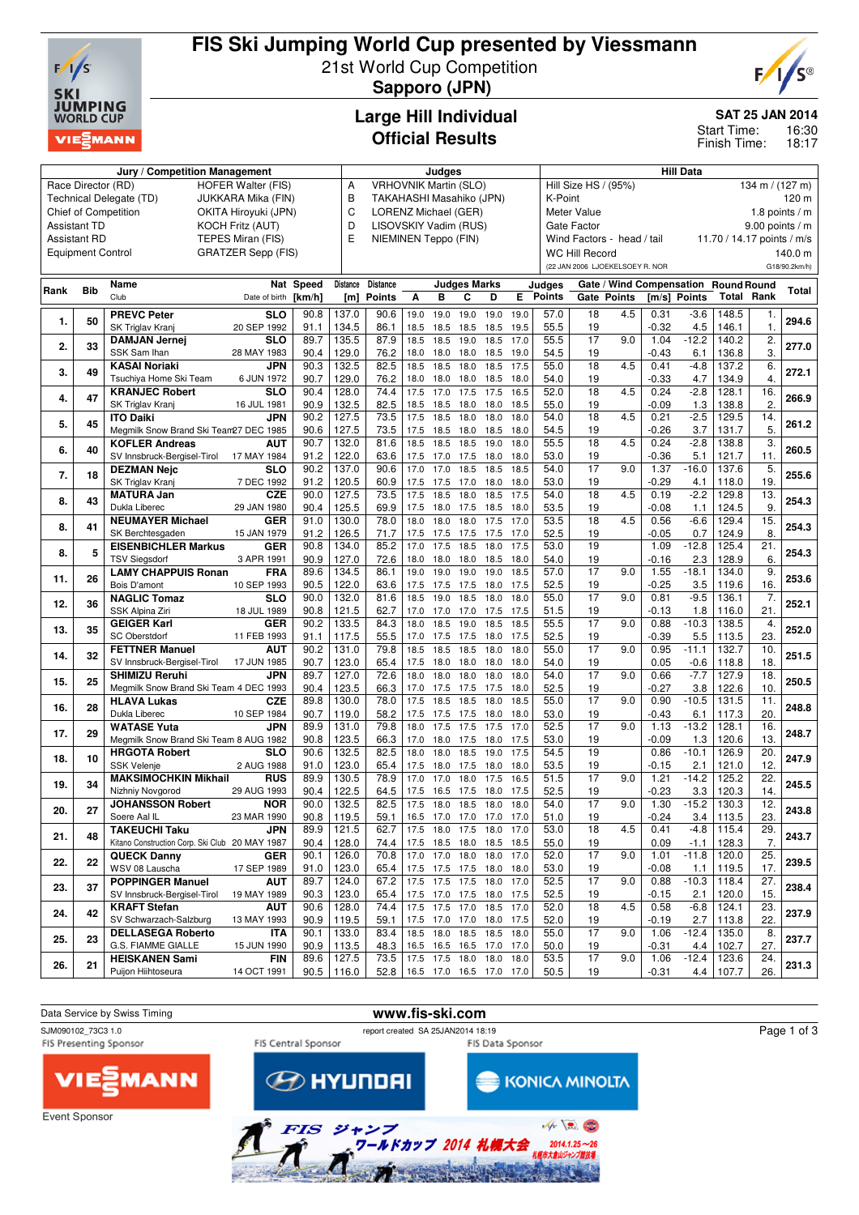

## **FIS Ski Jumping World Cup presented by Viessmann** 21st World Cup Competition **Sapporo (JPN)**



**Large Hill Individual Official Results**

**Jury / Competition Management Judges Hill Data**

#### **SAT 25 JAN 2014**

16:30 18:17 Start Time: Finish Time:

#### Race Director (RD) HOFER Walter (FIS) Technical Delegate (TD) JUKKARA Mika (FIN) Chief of Competition OKITA Hiroyuki (JPN) Assistant TD KOCH Fritz (AUT) Assistant RD TEPES Miran (FIS) Equipment Control GRATZER Sepp (FIS) A VRHOVNIK Martin (SLO) B TAKAHASHI Masahiko (JPN)<br>C LOBENZ Michael (GEB) C LORENZ Michael (GER) D LISOVSKIY Vadim (RUS) E NIEMINEN Teppo (FIN) Hill Size HS / (95%) 134 m / (127 m) K-Point 120 m Meter Value 1.8 points / m Gate Factor 9.00 points / m Wind Factors - head / tail 11.70 / 14.17 points / m/s WC Hill Record 140.0 m (22 JAN 2006 LJOEKELSOEY R. NOR G18/90.2km/h) **Rank Bib Name** Club **Nat Speed** Date of birth **[km/h] Distance [m] Distance Points Judges Marks A B C D E Judges Points Gate / Wind Compensation Round Round Gate Points [m/s] Points Total Rank Total 1. 50 PREVC Peter** SK Triglav Kranj **SLO 20 SLO** | 90.8 | 137.0 | 90.6 | 19.0 19.0 19.0 19.0 19.0 | 9.0 | 9.0 | 18 4.5 | 0.31 - 3.6 | 148.5 | 1. | 294.6<br>20 SEP 1992 | 91.1 | 134.5 | 86.1 | 18.5 18.5 18.5 18.5 18.5 19.5 | 55.5 | 19 | 0.32 4.5 | 146.1 | 1. | 294.6 91.1 | 134.5 | 86.1 | 18.5 18.5 18.5 18.5 19.5 | 19.5 | 19.5 | 19.5 | 1 **2. 33 DAMJAN Jernej** SSK Sam Ihan **SLO**<br>28 MAY 1983 **28 MAY 1983 128 128 128 128 128 135.5 135.5** 18.5 19.0 18.5 17.0 16.5 17.0 16.5 17.0 155.5 17 17 17 17 17 17 1<br>28 MAY 1983 190.4 129.0 129.0 129.0 129.18.0 18.0 18.0 18.5 19.0 54.5 19.0 19.1 19.5 19.1 12.5 12.12.12.12.12. 90.4 | 129.0 | 76.2 | 18.0 18.0 18.0 18.5 19.0 | 54.5 | 19 | -0.43 6.1 | 136.8 | 3. **3. 49 KASAI Noriaki** Tsuchiya Home Ski Team **JPN JPN** | 90.3 | 132.5 | 82.5 | 18.5 18.5 18.0 18.5 17.5 | 55.0 | 18 4.5 | 0.41 -4.8 | 137.2 | 6. | 272.1<br>6 JUN 1972 | 90.7 | 129.0 | 76.2 | 18.0 18.0 18.0 18.5 18.0 | 54.0 | 19 | -0.33 4.7 | 134.9 | 4. | 272.1 90.7 | 129.0 | 76.2 | 18.0 18.0 18.0 18.5 18.0 | 54.0 | 19 | -0.33 4.7 | 134.9 | 4. **4. 47 KRANJEC Robert** SK Triglav Kranj **SLO**<br>16 JUL 1981 16 JUL 1981 **266.9** 90.4 **28.0 266.9 266.9 266.9 266.9 266.9 266.9 266.9 266.9 266.9 266.9 266.9 26.9 26.9 26.9 26.9 26.9 26.9 26.9 26.9 26.9 26.9 26.9 26.9 26.9 26.9 26.** 90.9 | 132.5 | 82.5 | 18.5 18.5 18.0 18.0 18.5 | 55.0 | 19 | -0.09 1.3 | 138.8 | 2. **5. 45 ITO Daiki** Megmilk Snow Brand Ski Team27 DEC 1985 **JPN** 27 DEC 1985 **261.2** 90.2 127.5 73.5 17.5 18.5 18.0 18.0 18.0 54.0 18 4.5 0.21 -2.5 129.5 14. 90.6 | 127.5 | 73.5 | 17.5 18.5 18.0 18.5 18.0 | 54.5 | 19 | -0.26 3.7 | 131.7 | 5. **6. 40 KOFLER Andreas** SV Innsbruck-Bergisel-Tirol **AUT 4UT** | 90.7 | 132.0 | 81.6 | 18.5 18.5 18.5 19.0 18.0 | 55.5 | 18 4.5 | 0.24 - 2.8 | 138.8 | 3. | 260.5<br>17 17.0 17.5 17.0 17.5 18.0 18.0 | 53.0 | 19 | -0.36 5.1 | 121.7 | 11. | 260.5 91.2 122.0 63.6 17.5 17.0 17.5 18.0 18.0 53.0 19 -0.36 5.1 121.7 11. **7. 18 DEZMAN Nejc** SK Triglav Krani **SLO**<br>7 DEC 1992 **510** 90.2 137.0 90.6 17.0 17.0 18.5 18.5 18.5 18.6 17.0 17.0 18.5 18.5 18.6 17.0 17 17 17 18.0 1.37 -16.0 137.6 5.<br>7 DEC 1992 91.2 120.5 60.9 17.5 17.5 17.0 18.0 18.0 53.0 19 -0.29 4.1 118.0 19. 255.6 91.2 | 120.5 | 60.9 | 17.5 17.5 17.0 18.0 | 18.0 | 19 | -0.29 4.1 | 118.0 | 19. **8. 43 MATURA Jan** Dukla Liberec **CZE**<br>29 JAN 1980 **CZE** 90.0 127.5 73.5 17.5 18.5 18.0 18.5 17.5 54.0 18 4.5 0.19 -2.2 129.8 13. 254.3<br>29 JAN 1980 90.4 125.5 69.9 17.5 18.0 17.5 18.5 18.0 53.5 19 -0.08 1.1 124.5 9 254.3 90.4 | 125.5 | 69.9 | 17.5 18.0 17.5 18.5 18.0 | 53.5 | 19 | -0.08 1.1 | 124.5 | 9. **8. 41 NEUMAYER Michael** SK Berchtesgaden **GER 415 | 41.0 | 130.0** | 18.0 18.0 18.0 18.0 17.5 17.0 | 53.5 | 18 4.5 | 0.56 -6.6 | 129.4 | 15. | 254.3 | 15. | 254.3 | 15. | 254.3 | 15. | 254.3 | 15. | 254.3 | 15. | 254.3 | 15. | 254.3 | 15. | 254.3 | 15. | 254.3 | 15. | 91.2 | 126.5 | 71.7 | 17.5 17.5 17.5 17.5 17.0 | 52.5 | 19 | -0.05 0.7 | 124.9 | 8. **8. 5 EISENBICHLER Markus** TSV Siegsdorf **GER**<br>3 APR 1991 **425 | 434.0 | 34.0 | 35.2 | 17.0 17.5 18.5 18.0 17.5 | 53.0 | 19 | 1.09 -12.8 | 125.4 | 21. | 254.3**<br>3 APR 1991 | 90.9 | 127.0 | 72.6 | 18.0 18.0 18.0 18.5 18.0 | 54.0 | 19 | -0.16 2.3 | 128.9 | 6. | 254.3 90.9 127.0 72.6 18.0 18.0 18.0 18.5 18.0 54.0 19 -0.16 2.3 128.9 6. **11. 26 LAMY CHAPPUIS Ronan** Bois D'amont **FRA FRA** 89.6 134.5 86.1 19.0 19.0 19.0 19.5 57.0 17 9.0 1.55 -18.1 134.0 9.<br>10 SEP 1993 90.5 122.0 63.6 17.5 17.5 17.5 18.0 17.5 52.5 19 0.25 3.5 119.6 16. 253.6 90.5 | 122.0 | 63.6 | 17.5 17.5 17.5 18.0 17.5 | 52.5 | 19 | -0.25 3.5 | 119.6 | 16. **12. 36 NAGLIC Tomaz** SSK Alpina Zir **SLO**<br>18 JUL 1989 18 JUL 1989 **20.0** 132.0 **81.6** 18.5 19.0 18.5 18.0 18.0 **13.0** 17 17 9.0 0.81 19.5 136.1 7. **252.1** 18. **10.11 1989** 190.8 121.5 **62.7** 17.0 17.0 17.5 17.5 **17.5** 1.5 **1.9** 1.16 1.18 1.16.0 21. **252.1** 90.8 | 121.5 | 62.7 | 17.0 17.0 17.5 17.5 | 51.5 | 19 | -0.13 1.8 | 116.0 | 21. **13. 35 GEIGER Karl** SC Oberstdorf GER<br>11 FEB 1993 **4. 252.0 268 | 112.5 | 112.5 | 112.5 | 133.5 | 133.5 | 133.5 | 133.5 | 133.5 | 133.5 | 133.5 | 133.5 | 133.5 | 153.8<br>11 <b>252.0** 155 | 17.0 17.5 | 17.5 | 17.5 | 17.5 | 17.5 | 17.5 | 17.5 | 17.5 | 17.5 | 18.5 | 18.5 | 1 91.1 | 117.5 | 55.5 | 17.0 17.5 17.5 18.0 17.5 | 52.5 | 19 | -0.39 5.5 | 113.5 | 23. **14. 32 FETTNER Manuel** SV Innsbruck-Bergisel-Tirol **AUT** 17 **AUT** 90.2 131.0 79.8 18.5 18.5 18.5 18.0 18.0 55.0 17 9.0 0.95 -11.1 132.7 10.<br>17 JUN 1985 90.7 123.0 65.4 17.5 18.0 18.0 18.0 18.0 54.0 19 0.05 -0.6 118.8 18. 251.5 90.7 | 123.0 | 65.4 | 17.5 18.0 18.0 18.0 18.0 | 54.0 | 19 | 0.05 -0.6 | 118.8 | 18. **15. 25 SHIMIZU Reruhi** Megmilk Snow Brand Ski Team 4 DEC 1993 **JPN 4 DEC 1993 26.4 127.0 250.5 26.6 18.0** 18.0 18.0 18.0 18.0 18.0 18.0 **18.0** 18.0 **18.0** 18.0 **19.0 18.1 128.6** 1993 **26.5** 19.1 128.5 **66.3** 17.0 17.5 17.5 17.5 18.0 **18.0** 18.1 19.1 12.2.5 **19.1** 12.2.6 10. 12.5 12 90.4 | 123.5 | 66.3 | 17.0 17.5 17.5 17.5 18.0 | 52.5 | 19 | -0.27 3.8 | 122.6 | 10. **16. 28 HLAVA Lukas** Dukla Liberec **CZE CZE** 89.8 130.0 78.0 17.5 18.5 18.5 18.0 18.5 55.0 17 9.0 0.90 -10.5 131.5 11.<br>10 SEP 1984 90.7 119.0 58.2 17.5 17.5 17.5 18.0 18.0 53.0 19 -0.43 6.1 117.3 20. 248.8 90.7 119.0 58.2 17.5 17.5 17.5 18.0 18.0 53.0 19 -0.43 6.1 117.3 20. **17. 29 WATASE Yuta** Megmilk Snow Brand Ski Team 8 AUG 1982 **JPN** 8 AUG 1982 **29.9** 131.0 **29.9** 131.0 **248.7** 89.9 131.0 17.5 17.5 17.5 17.5 17.5 17.5 17.5 17.6 18.0 17.5 **17.6** 1<br>8 AUG 1982 **20.8** 120.6 13. 120.5 16.3 17.0 18.0 17.5 18.0 17.5 18.0 17.5 18.0 19.0 19.0 1.13 120.6 13. 248 90.8 | 123.5 | 66.3 | 17.0 18.0 17.5 18.0 17.5 | 53.0 | 19 | -0.09 1.3 | 120.6 | 13. **18. 10 HRGOTA Robert** SSK Velenje **SLO 2** CHO | 90.6 | 132.5 | 82.5 | 18.0 18.0 18.5 19.0 17.5 | 54.5 | 19.0 | 0.86 -10.1 | 126.9 | 20. | 247.9 | 24<br>17.5 18.0 17.5 18.0 18.0 | 53.5 | 19.0 | -0.15 2.1 | 121.0 | 12. | 247.9 | -0.15 2.1 | 121.0 | 12. 91.0 | 123.0 | 65.4 | 17.5 18.0 17.5 18.0 18.0 | 53.5 | 19 | -0.15 2.1 | 121.0 | 12. **19. 34 MAKSIMOCHKIN Mikhail** Nizhniy Novgorod **RUS**<br>29 AUG 1993 **RUS** 89.9 130.5 78.9 17.0 17.0 18.0 17.5 16.5 51.5 17 9.0 1.21 -14.2 125.2 22.<br>29 AUG 1993 90.4 122.5 64.5 17.5 16.5 17.5 18.0 17.5 52.5 19 0.23 3.3 120.3 14. 90.4 | 122.5 | 64.5 | 17.5 16.5 17.5 18.0 17.5 | 52.5 | 19 | -0.23 3.3 | 120.3 | 14. **20. 27 JOHANSSON Robert** Soere Aal IL **NOR NOR** | 90.0 | 132.5 | 82.5 | 17.5 18.0 18.5 18.0 18.0 | 54.0 | 17 9.0 | 1.30 -15.2 | 130.3 | 12. | 243.8<br>23 0.24 3.4 | 113.5 | 23. | 243.8 | 243.8 | 243.8 | 243.8 | 25.1 | 16.5 17.0 17.0 17.0 | 17.0 | 51.0 | 19 90.8 119.5 59.1 16.5 17.0 17.0 17.0 17.0 51.0 19 -0.24 3.4 113.5 23. **21. 48 TAKEUCHI Taku** Kitano Construction Corp. Ski Club 20 MAY 1987 **JPN 1PN** 89.9 121.5 62.7 17.5 18.0 17.5 18.0 17.0 53.0 18 4.5 0.41 -4.8 115.4 29.<br>20 MAY 1987 90.4 128.0 74.4 17.5 18.5 18.0 18.5 18.5 55.0 19 0.09 -1.1 128.3 7. 90.4 128.0 74.4 17.5 18.5 18.0 18.5 18.5 55.0 19 0.09 -1.1 128.3 7. **22. 22 QUECK Danny** WSV 08 Lauscha **GER 488 GER** | 90.1 | 126.0 | 70.8 | 17.0 17.0 18.0 18.0 17.0 | 52.0 | 17 9.0 | 1.01 -11.8 | 120.0 | 25. | 239.5<br>17 17 17 17 17 | 17.5 | 17.6 17.5 17.5 18.0 18.0 | 53.0 | 19 | 10.08 1.1 | 119.5 | 17. | 239.5 91.0 | 123.0 | 65.4 | 17.5 17.5 17.5 18.0 | 8.0 | 19 | -0.08 1.1 | 119.5 | 17. 23. 37 **POPPINGER Manuel** SV Innsbruck-Bergisel-Tirol **AUT**<br>19 MAY 1989 19 MAY 1989 **238.4** 89.7 124.0 67.2 17.5 17.5 17.5 18.0 17.0 52.5 17 9.0 0.88 -10.3 118.4 27. 90.3 | 123.0 | 65.4 | 17.5 17.0 17.5 18.0 17.5 | 52.5 | 19 | -0.15 2.1 | 120.0 | 15. **24. 42 KRAFT Stefan** SV Schwarzach-Salzburg **AUT**<br>13 MAY 1993 13 MAY 1993 **237.9** 90.6 128.0 74.4 17.5 17.5 17.0 18.5 17.0 52.0 18 4.5 0.58 -6.8 124.1 23. 90.9 119.5 59.1 17.5 17.0 17.0 18.0 17.5 52.0 19 -0.19 2.7 113.8 22. **25. 23 DELLASEGA Roberto** G.S. FIAMME GIALLE **ITA**<br>15 JUN 1990 117 **113** 133.0 8.4 18.5 18.0 18.5 18.6 18.0 18.5 18.0 17.0 17.0 16.5 16.0 17.0 17.0 15.0 1.06 -12.4 135.0 8.<br>15 JUN 1990 90.9 113.5 48.3 16.5 16.5 16.5 16.5 17.0 17.0 50.0 19 90.9 113.5 48.3 16.5 16.5 16.5 17.0 17.0 50.0 19 -0.31 4.4 102.7 27. 26 21 **HEISKANEN** Sami Puijon Hiihtoseura **FIN**<br>14 OCT 1991 14 OCT 1991 **231.3** 89.6 127.5 73.5 17.5 17.5 18.0 18.0 18.0 53.5 17 9.0 1.06 -12.4 123.6 24. 90.5 116.0 52.8 16.5 17.0 16.5 17.0 17.0 50.5 19 -0.31 4.4 107.7 26.

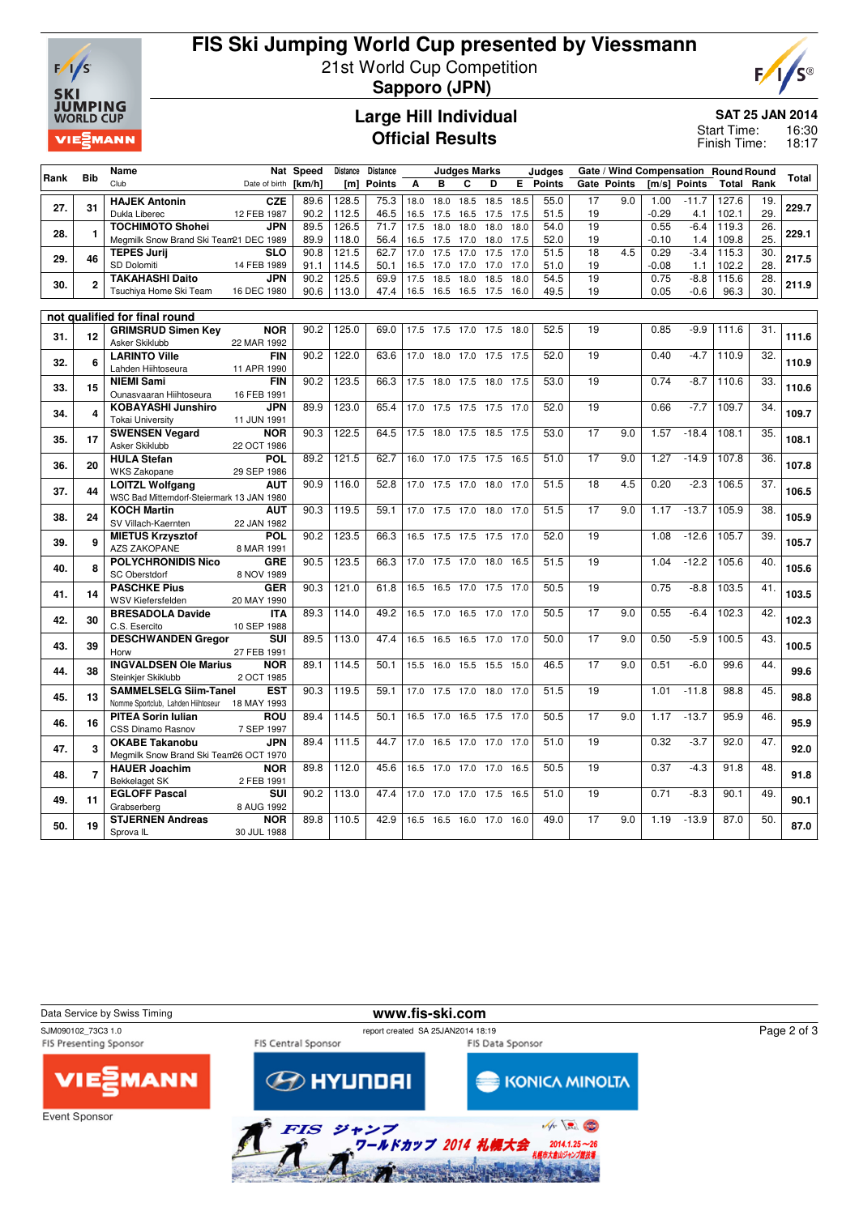

# **FIS Ski Jumping World Cup presented by Viessmann** 21st World Cup Competition **Sapporo (JPN)**



**Large Hill Individual Official Results**

**SAT 25 JAN 2014**

16:30 18:17 Start Time: Finish Time:

| l Rank | <b>Bib</b>     | Name                                           |                           | Nat Speed |       | Distance Distance |      |           | <b>Judges Marks</b>      |           |      | Judges   |                 | Gate / Wind Compensation Round Round |         |              |                   |                   | Total |
|--------|----------------|------------------------------------------------|---------------------------|-----------|-------|-------------------|------|-----------|--------------------------|-----------|------|----------|-----------------|--------------------------------------|---------|--------------|-------------------|-------------------|-------|
|        |                | Club                                           | Date of birth [km/h]      |           |       | [m] Points        | A    | B         | C                        | D         |      | E Points |                 | <b>Gate Points</b>                   |         | Im/sl Points | <b>Total Rank</b> |                   |       |
|        |                | <b>HAJEK Antonin</b>                           | <b>CZE</b>                | 89.6      | 128.5 | 75.3              | 18.0 | 18.0      | 18.5                     | 18.5      | 18.5 | 55.0     | 17              | 9.0                                  | 1.00    | $-11.7$      | 127.6             | 19.               |       |
| 27.    | 31             | Dukla Liberec                                  | 12 FEB 1987               | 90.2      | 112.5 | 46.5              | 16.5 | 17.5      | 16.5                     | 17.5      | 17.5 | 51.5     | 19              |                                      | $-0.29$ | 4.1          | 102.1             | 29.               | 229.7 |
| 28.    | $\mathbf{1}$   | <b>TOCHIMOTO Shohei</b>                        | JPN                       | 89.5      | 126.5 | 71.7              | 17.5 | 18.0      | 18.0                     | 18.0      | 18.0 | 54.0     | 19              |                                      | 0.55    | $-6.4$       | 119.3             | 26.               | 229.1 |
|        |                | Megmilk Snow Brand Ski Team21 DEC 1989         |                           | 89.9      | 118.0 | 56.4              | 16.5 | 17.5      | 17.0                     | 18.0      | 17.5 | 52.0     | 19              |                                      | $-0.10$ | 1.4          | 109.8             | 25.               |       |
| 29.    | 46             | <b>TEPES Jurij</b>                             | <b>SLO</b>                | 90.8      | 121.5 | 62.7              | 17.0 | 17.5      | 17.0                     | 17.5      | 17.0 | 51.5     | 18              | 4.5                                  | 0.29    | $-3.4$       | 115.3             | 30.               | 217.5 |
|        |                | SD Dolomiti                                    | 14 FEB 1989               | 91.1      | 114.5 | 50.1              | 16.5 | 17.0      | 17.0                     | 17.0      | 17.0 | 51.0     | 19              |                                      | $-0.08$ | 1.1          | 102.2             | 28.               |       |
| 30.    | $\overline{2}$ | <b>TAKAHASHI Daito</b>                         | <b>JPN</b>                | 90.2      | 125.5 | 69.9              | 17.5 | 18.5      | 18.0                     | 18.5      | 18.0 | 54.5     | $\overline{19}$ |                                      | 0.75    | $-8.8$       | 115.6             | $\overline{28}$ . | 211.9 |
|        |                | Tsuchiya Home Ski Team                         | 16 DEC 1980               | 90.6      | 113.0 | 47.4              |      |           | 16.5 16.5 16.5 17.5      |           | 16.0 | 49.5     | 19              |                                      | 0.05    | $-0.6$       | 96.3              | 30.               |       |
|        |                |                                                |                           |           |       |                   |      |           |                          |           |      |          |                 |                                      |         |              |                   |                   |       |
|        |                | not qualified for final round                  |                           |           |       |                   |      |           |                          |           |      |          |                 |                                      |         |              |                   |                   |       |
| 31.    | 12             | <b>GRIMSRUD Simen Key</b><br>Asker Skiklubb    | <b>NOR</b><br>22 MAR 1992 | 90.2      | 125.0 | 69.0              |      |           | 17.5 17.5 17.0 17.5      |           | 18.0 | 52.5     | 19              |                                      | 0.85    | $-9.9$       | 111.6             | 31.               | 111.6 |
|        |                | <b>LARINTO Ville</b>                           | <b>FIN</b>                | 90.2      | 122.0 | 63.6              |      |           | 17.0 18.0 17.0 17.5      |           | 17.5 | 52.0     | 19              |                                      | 0.40    | $-4.7$       | 110.9             | 32.               |       |
| 32.    | 6              | Lahden Hiihtoseura                             | 11 APR 1990               |           |       |                   |      |           |                          |           |      |          |                 |                                      |         |              |                   |                   | 110.9 |
|        |                | <b>NIEMI Sami</b>                              | <b>FIN</b>                | 90.2      | 123.5 | 66.3              | 17.5 | 18.0      | 17.5                     | 18.0      | 17.5 | 53.0     | 19              |                                      | 0.74    | $-8.7$       | 110.6             | 33.               |       |
| 33.    | 15             | Ounasvaaran Hiihtoseura                        | 16 FEB 1991               |           |       |                   |      |           |                          |           |      |          |                 |                                      |         |              |                   |                   | 110.6 |
|        |                | <b>KOBAYASHI Junshiro</b>                      | <b>JPN</b>                | 89.9      | 123.0 | 65.4              | 17.0 | 17.5      | 17.5                     | 17.5      | 17.0 | 52.0     | 19              |                                      | 0.66    | $-7.7$       | 109.7             | 34.               |       |
| 34.    | 4              | <b>Tokai University</b>                        | 11 JUN 1991               |           |       |                   |      |           |                          |           |      |          |                 |                                      |         |              |                   |                   | 109.7 |
|        |                | <b>SWENSEN Vegard</b>                          | <b>NOR</b>                | 90.3      | 122.5 | 64.5              | 17.5 |           | 18.0 17.5 18.5           |           | 17.5 | 53.0     | 17              | 9.0                                  | 1.57    | $-18.4$      | 108.1             | 35.               |       |
|        | 35.<br>17      | Asker Skiklubb                                 | 22 OCT 1986               |           |       |                   |      |           |                          |           |      |          |                 |                                      |         |              |                   |                   | 108.1 |
| 36.    | 20             | <b>HULA Stefan</b>                             | POL                       | 89.2      | 121.5 | 62.7              | 16.0 | 17.0      | 17.5                     | 17.5      | 16.5 | 51.0     | 17              | 9.0                                  | 1.27    | $-14.9$      | 107.8             | 36.               | 107.8 |
|        |                | <b>WKS Zakopane</b>                            | 29 SEP 1986               |           |       |                   |      |           |                          |           |      |          |                 |                                      |         |              |                   |                   |       |
| 37.    | 44             | <b>LOITZL Wolfgang</b>                         | <b>AUT</b>                | 90.9      | 116.0 | 52.8              |      |           | 17.0 17.5 17.0 18.0      |           | 17.0 | 51.5     | $\overline{18}$ | $\overline{4.5}$                     | 0.20    | $-2.3$       | 106.5             | $\overline{37}$ . | 106.5 |
|        |                | WSC Bad Mitterndorf-Steiermark 13 JAN 1980     |                           |           |       |                   |      |           |                          |           |      |          |                 |                                      |         |              |                   |                   |       |
| 38.    | 24             | <b>KOCH Martin</b>                             | AUT                       | 90.3      | 119.5 | 59.1              |      |           | 17.0 17.5 17.0 18.0 17.0 |           |      | 51.5     | 17              | 9.0                                  | 1.17    | $-13.7$      | 105.9             | 38.               | 105.9 |
|        |                | SV Villach-Kaernten                            | 22 JAN 1982               |           |       |                   |      |           |                          |           |      |          |                 |                                      |         |              |                   |                   |       |
| 39.    | 9              | <b>MIETUS Krzysztof</b>                        | POL                       | 90.2      | 123.5 | 66.3              |      |           | 16.5 17.5 17.5 17.5      |           | 17.0 | 52.0     | 19              |                                      | 1.08    | $-12.6$      | 105.7             | 39.               | 105.7 |
|        |                | AZS ZAKOPANE                                   | 8 MAR 1991                |           | 123.5 |                   |      |           |                          |           |      |          | 19              |                                      | 1.04    |              |                   | 40.               |       |
| 40.    | 8              | <b>POLYCHRONIDIS Nico</b><br>SC Oberstdorf     | <b>GRE</b><br>8 NOV 1989  | 90.5      |       | 66.3              | 17.0 | 17.5 17.0 |                          | 18.0      | 16.5 | 51.5     |                 |                                      |         | $-12.2$      | 105.6             |                   | 105.6 |
|        | 14             | <b>PASCHKE Pius</b>                            | <b>GER</b>                | 90.3      | 121.0 | 61.8              | 16.5 |           | 16.5 17.0 17.5           |           | 17.0 | 50.5     | 19              |                                      | 0.75    | $-8.8$       | 103.5             | 41.               |       |
| 41.    |                | WSV Kiefersfelden                              | 20 MAY 1990               |           |       |                   |      |           |                          |           |      |          |                 |                                      |         |              |                   |                   | 103.5 |
|        |                | <b>BRESADOLA Davide</b>                        | <b>ITA</b>                | 89.3      | 114.0 | 49.2              | 16.5 | 17.0      | 16.5                     | 17.0      | 17.0 | 50.5     | 17              | 9.0                                  | 0.55    | $-6.4$       | 102.3             | 42.               |       |
| 42.    | 30             | C.S. Esercito                                  | 10 SEP 1988               |           |       |                   |      |           |                          |           |      |          |                 |                                      |         |              |                   |                   | 102.3 |
|        |                | <b>DESCHWANDEN Gregor</b>                      | SUI                       | 89.5      | 113.0 | 47.4              |      |           | 16.5 16.5 16.5 17.0 17.0 |           |      | 50.0     | 17              | 9.0                                  | 0.50    | $-5.9$       | 100.5             | 43.               |       |
| 43.    | 39             | Horw                                           | 27 FEB 1991               |           |       |                   |      |           |                          |           |      |          |                 |                                      |         |              |                   |                   | 100.5 |
|        |                | <b>INGVALDSEN Ole Marius</b>                   | <b>NOR</b>                | 89.1      | 114.5 | 50.1              |      |           | 15.5 16.0 15.5 15.5      |           | 15.0 | 46.5     | 17              | 9.0                                  | 0.51    | $-6.0$       | 99.6              | 44.               |       |
| 44.    | 38             | Steinkjer Skiklubb                             | 2 OCT 1985                |           |       |                   |      |           |                          |           |      |          |                 |                                      |         |              |                   |                   | 99.6  |
| 45.    | 13             | <b>SAMMELSELG Siim-Tanel</b>                   | <b>EST</b>                | 90.3      | 119.5 | 59.1              | 17.0 |           | 17.5 17.0                | 18.0 17.0 |      | 51.5     | 19              |                                      | 1.01    | $-11.8$      | 98.8              | 45.               | 98.8  |
|        |                | Nomme Sportclub, Lahden Hiihtoseur 18 MAY 1993 |                           |           |       |                   |      |           |                          |           |      |          |                 |                                      |         |              |                   |                   |       |
| 46.    | 16             | <b>PITEA Sorin Iulian</b>                      | ROU                       | 89.4      | 114.5 | 50.1              | 16.5 | 17.0      | 16.5                     | 17.5      | 17.0 | 50.5     | 17              | 9.0                                  | 1.17    | $-13.7$      | 95.9              | 46.               | 95.9  |
|        |                | CSS Dinamo Rasnov                              | 7 SEP 1997                |           |       |                   |      |           |                          |           |      |          |                 |                                      |         |              |                   |                   |       |
| 47.    | 3              | <b>OKABE Takanobu</b>                          | <b>JPN</b>                | 89.4      | 111.5 | 44.7              | 17.0 | 16.5      | 17.0                     | 17.0      | 17.0 | 51.0     | 19              |                                      | 0.32    | $-3.7$       | 92.0              | 47.               | 92.0  |
|        |                | Megmilk Snow Brand Ski Team26 OCT 1970         |                           |           |       |                   |      |           |                          |           |      |          |                 |                                      |         |              |                   |                   |       |
| 48.    | $\overline{7}$ | <b>HAUER Joachim</b>                           | NOR                       | 89.8      | 112.0 | 45.6              | 16.5 | 17.0      | 17.0                     | 17.0      | 16.5 | 50.5     | 19              |                                      | 0.37    | $-4.3$       | 91.8              | 48.               | 91.8  |
|        |                | <b>Bekkelaget SK</b>                           | 2 FEB 1991                | 90.2      | 113.0 | 47.4              |      |           |                          |           |      | 51.0     | 19              |                                      | 0.71    |              | 90.1              | 49.               |       |
| 49.    | 11             | <b>EGLOFF Pascal</b><br>Grabserberg            | SUI<br>8 AUG 1992         |           |       |                   |      |           | 17.0 17.0 17.0 17.5      |           | 16.5 |          |                 |                                      |         | $-8.3$       |                   |                   | 90.1  |
|        |                | <b>STJERNEN Andreas</b>                        | <b>NOR</b>                | 89.8      | 110.5 | 42.9              |      |           | 16.5 16.5 16.0 17.0 16.0 |           |      | 49.0     | 17              | 9.0                                  | 1.19    | $-13.9$      | 87.0              | 50.               |       |
| 50.    | 19             | Sprova <sub>IL</sub>                           | 30 JUL 1988               |           |       |                   |      |           |                          |           |      |          |                 |                                      |         |              |                   |                   | 87.0  |
|        |                |                                                |                           |           |       |                   |      |           |                          |           |      |          |                 |                                      |         |              |                   |                   |       |